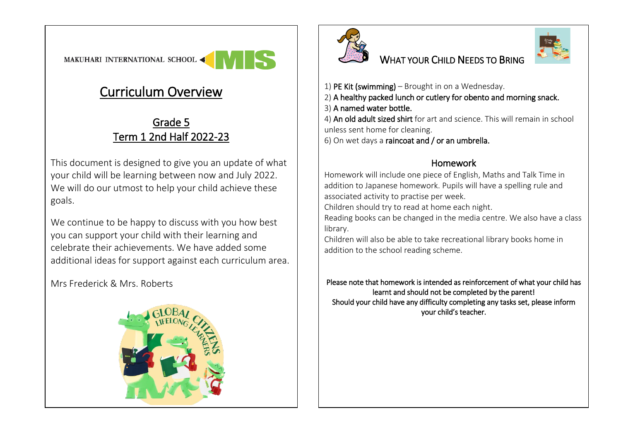MAKUHARI INTERNATIONAL SCHOOL

## Curriculum Overview

## Grade 5 Term 1 2nd Half 2022-23

This document is designed to give you an update of what your child will be learning between now and July 2022. We will do our utmost to help your child achieve these goals.

We continue to be happy to discuss with you how best you can support your child with their learning and celebrate their achievements. We have added some additional ideas for support against each curriculum area.

Mrs Frederick & Mrs. Roberts





## WHAT YOUR CHILD NEEDS TO BRING



1) PE Kit (swimming) – Brought in on a Wednesday.

2) A healthy packed lunch or cutlery for obento and morning snack.

3) A named water bottle.

4) An old adult sized shirt for art and science. This will remain in school unless sent home for cleaning.

6) On wet days a raincoat and / or an umbrella.

## Homework

Homework will include one piece of English, Maths and Talk Time in addition to Japanese homework. Pupils will have a spelling rule and associated activity to practise per week.

Children should try to read at home each night.

Reading books can be changed in the media centre. We also have a class library.

Children will also be able to take recreational library books home in addition to the school reading scheme.

Please note that homework is intended as reinforcement of what your child has learnt and should not be completed by the parent! Should your child have any difficulty completing any tasks set, please inform your child's teacher.